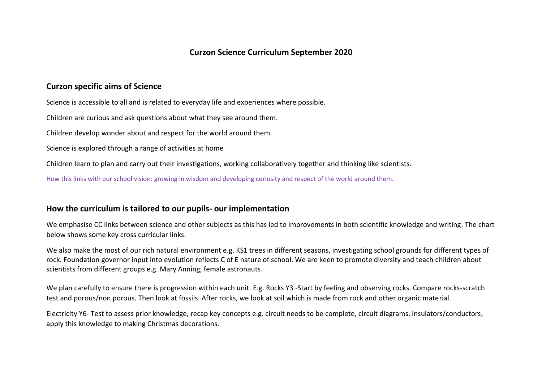# **Curzon Science Curriculum September 2020**

### **Curzon specific aims of Science**

Science is accessible to all and is related to everyday life and experiences where possible.

Children are curious and ask questions about what they see around them.

Children develop wonder about and respect for the world around them.

Science is explored through a range of activities at home

Children learn to plan and carry out their investigations, working collaboratively together and thinking like scientists.

How this links with our school vision: growing in wisdom and developing curiosity and respect of the world around them.

#### **How the curriculum is tailored to our pupils- our implementation**

We emphasise CC links between science and other subjects as this has led to improvements in both scientific knowledge and writing. The chart below shows some key cross curricular links.

We also make the most of our rich natural environment e.g. KS1 trees in different seasons, investigating school grounds for different types of rock. Foundation governor input into evolution reflects C of E nature of school. We are keen to promote diversity and teach children about scientists from different groups e.g. Mary Anning, female astronauts.

We plan carefully to ensure there is progression within each unit. E.g. Rocks Y3 -Start by feeling and observing rocks. Compare rocks-scratch test and porous/non porous. Then look at fossils. After rocks, we look at soil which is made from rock and other organic material.

Electricity Y6- Test to assess prior knowledge, recap key concepts e.g. circuit needs to be complete, circuit diagrams, insulators/conductors, apply this knowledge to making Christmas decorations.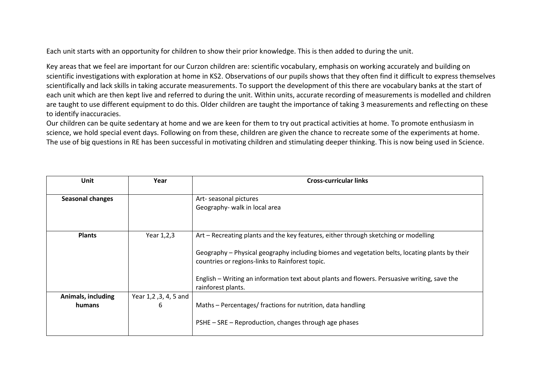Each unit starts with an opportunity for children to show their prior knowledge. This is then added to during the unit.

Key areas that we feel are important for our Curzon children are: scientific vocabulary, emphasis on working accurately and building on scientific investigations with exploration at home in KS2. Observations of our pupils shows that they often find it difficult to express themselves scientifically and lack skills in taking accurate measurements. To support the development of this there are vocabulary banks at the start of each unit which are then kept live and referred to during the unit. Within units, accurate recording of measurements is modelled and children are taught to use different equipment to do this. Older children are taught the importance of taking 3 measurements and reflecting on these to identify inaccuracies.

Our children can be quite sedentary at home and we are keen for them to try out practical activities at home. To promote enthusiasm in science, we hold special event days. Following on from these, children are given the chance to recreate some of the experiments at home. The use of big questions in RE has been successful in motivating children and stimulating deeper thinking. This is now being used in Science.

| <b>Unit</b>             | Year               | <b>Cross-curricular links</b>                                                                  |
|-------------------------|--------------------|------------------------------------------------------------------------------------------------|
|                         |                    |                                                                                                |
| <b>Seasonal changes</b> |                    | Art-seasonal pictures                                                                          |
|                         |                    | Geography- walk in local area                                                                  |
|                         |                    |                                                                                                |
|                         |                    |                                                                                                |
|                         |                    |                                                                                                |
| <b>Plants</b>           | Year 1,2,3         | Art – Recreating plants and the key features, either through sketching or modelling            |
|                         |                    |                                                                                                |
|                         |                    | Geography - Physical geography including biomes and vegetation belts, locating plants by their |
|                         |                    | countries or regions-links to Rainforest topic.                                                |
|                         |                    |                                                                                                |
|                         |                    | English – Writing an information text about plants and flowers. Persuasive writing, save the   |
|                         |                    | rainforest plants.                                                                             |
| Animals, including      | Year 1,2,3,4,5 and |                                                                                                |
|                         |                    |                                                                                                |
| humans                  | 6                  | Maths - Percentages/ fractions for nutrition, data handling                                    |
|                         |                    |                                                                                                |
|                         |                    | PSHE - SRE - Reproduction, changes through age phases                                          |
|                         |                    |                                                                                                |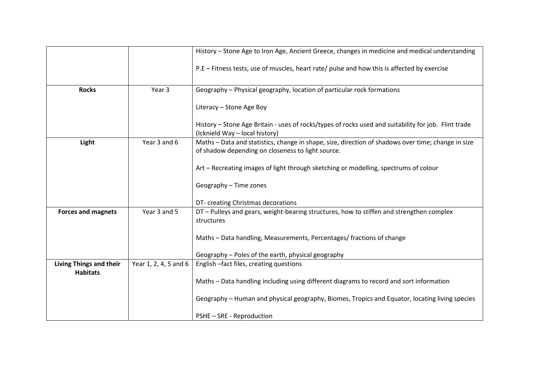|                                |                       | History - Stone Age to Iron Age, Ancient Greece, changes in medicine and medical understanding                                         |
|--------------------------------|-----------------------|----------------------------------------------------------------------------------------------------------------------------------------|
|                                |                       | P.E - Fitness tests, use of muscles, heart rate/ pulse and how this is affected by exercise                                            |
| <b>Rocks</b>                   | Year <sub>3</sub>     | Geography - Physical geography, location of particular rock formations                                                                 |
|                                |                       | Literacy - Stone Age Boy                                                                                                               |
|                                |                       | History - Stone Age Britain - uses of rocks/types of rocks used and suitability for job. Flint trade<br>(Icknield Way - local history) |
| Light                          | Year 3 and 6          | Maths - Data and statistics, change in shape, size, direction of shadows over time; change in size                                     |
|                                |                       | of shadow depending on closeness to light source.                                                                                      |
|                                |                       | Art - Recreating images of light through sketching or modelling, spectrums of colour                                                   |
|                                |                       | Geography - Time zones                                                                                                                 |
|                                |                       | DT- creating Christmas decorations                                                                                                     |
| <b>Forces and magnets</b>      | Year 3 and 5          | DT - Pulleys and gears, weight-bearing structures, how to stiffen and strengthen complex                                               |
|                                |                       | structures                                                                                                                             |
|                                |                       | Maths - Data handling, Measurements, Percentages/ fractions of change                                                                  |
|                                |                       | Geography - Poles of the earth, physical geography                                                                                     |
| <b>Living Things and their</b> | Year 1, 2, 4, 5 and 6 | English -fact files, creating questions                                                                                                |
| <b>Habitats</b>                |                       | Maths - Data handling including using different diagrams to record and sort information                                                |
|                                |                       | Geography - Human and physical geography, Biomes, Tropics and Equator, locating living species                                         |
|                                |                       | PSHE - SRE - Reproduction                                                                                                              |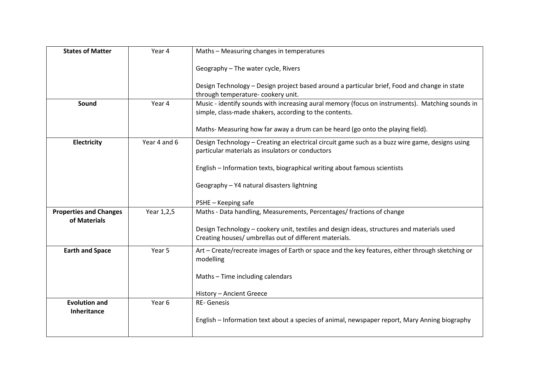| <b>States of Matter</b>       | Year 4       | Maths - Measuring changes in temperatures                                                                                                                 |
|-------------------------------|--------------|-----------------------------------------------------------------------------------------------------------------------------------------------------------|
|                               |              | Geography - The water cycle, Rivers                                                                                                                       |
|                               |              | Design Technology - Design project based around a particular brief, Food and change in state<br>through temperature- cookery unit.                        |
|                               |              |                                                                                                                                                           |
| Sound                         | Year 4       | Music - identify sounds with increasing aural memory (focus on instruments). Matching sounds in<br>simple, class-made shakers, according to the contents. |
|                               |              |                                                                                                                                                           |
|                               |              | Maths- Measuring how far away a drum can be heard (go onto the playing field).                                                                            |
| Electricity                   | Year 4 and 6 | Design Technology - Creating an electrical circuit game such as a buzz wire game, designs using                                                           |
|                               |              | particular materials as insulators or conductors                                                                                                          |
|                               |              | English - Information texts, biographical writing about famous scientists                                                                                 |
|                               |              | Geography - Y4 natural disasters lightning                                                                                                                |
|                               |              |                                                                                                                                                           |
|                               |              | PSHE - Keeping safe                                                                                                                                       |
| <b>Properties and Changes</b> | Year 1,2,5   | Maths - Data handling, Measurements, Percentages/ fractions of change                                                                                     |
| of Materials                  |              |                                                                                                                                                           |
|                               |              | Design Technology - cookery unit, textiles and design ideas, structures and materials used                                                                |
|                               |              | Creating houses/ umbrellas out of different materials.                                                                                                    |
| <b>Earth and Space</b>        | Year 5       | Art - Create/recreate images of Earth or space and the key features, either through sketching or                                                          |
|                               |              | modelling                                                                                                                                                 |
|                               |              | Maths - Time including calendars                                                                                                                          |
|                               |              |                                                                                                                                                           |
|                               |              | History - Ancient Greece                                                                                                                                  |
| <b>Evolution and</b>          | Year 6       | RE-Genesis                                                                                                                                                |
| <b>Inheritance</b>            |              |                                                                                                                                                           |
|                               |              | English - Information text about a species of animal, newspaper report, Mary Anning biography                                                             |
|                               |              |                                                                                                                                                           |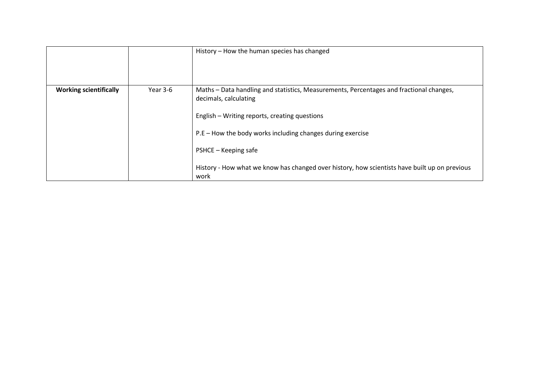|                               |          | History – How the human species has changed                                                                                                                                                                                                                                                                                                                      |
|-------------------------------|----------|------------------------------------------------------------------------------------------------------------------------------------------------------------------------------------------------------------------------------------------------------------------------------------------------------------------------------------------------------------------|
| <b>Working scientifically</b> | Year 3-6 | Maths - Data handling and statistics, Measurements, Percentages and fractional changes,<br>decimals, calculating<br>English - Writing reports, creating questions<br>P.E – How the body works including changes during exercise<br>PSHCE – Keeping safe<br>History - How what we know has changed over history, how scientists have built up on previous<br>work |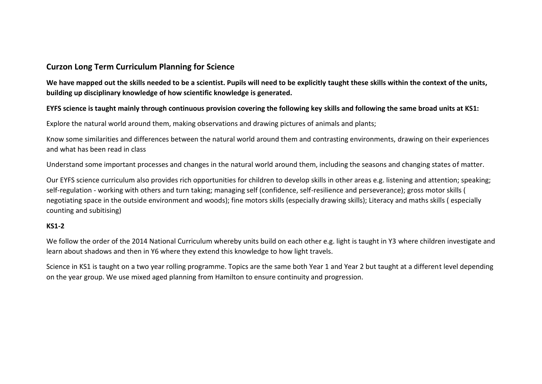## **Curzon Long Term Curriculum Planning for Science**

**We have mapped out the skills needed to be a scientist. Pupils will need to be explicitly taught these skills within the context of the units, building up disciplinary knowledge of how scientific knowledge is generated.** 

### **EYFS science is taught mainly through continuous provision covering the following key skills and following the same broad units at KS1:**

Explore the natural world around them, making observations and drawing pictures of animals and plants;

Know some similarities and differences between the natural world around them and contrasting environments, drawing on their experiences and what has been read in class

Understand some important processes and changes in the natural world around them, including the seasons and changing states of matter.

Our EYFS science curriculum also provides rich opportunities for children to develop skills in other areas e.g. listening and attention; speaking; self-regulation - working with others and turn taking; managing self (confidence, self-resilience and perseverance); gross motor skills ( negotiating space in the outside environment and woods); fine motors skills (especially drawing skills); Literacy and maths skills ( especially counting and subitising)

#### **KS1-2**

We follow the order of the 2014 National Curriculum whereby units build on each other e.g. light is taught in Y3 where children investigate and learn about shadows and then in Y6 where they extend this knowledge to how light travels.

Science in KS1 is taught on a two year rolling programme. Topics are the same both Year 1 and Year 2 but taught at a different level depending on the year group. We use mixed aged planning from Hamilton to ensure continuity and progression.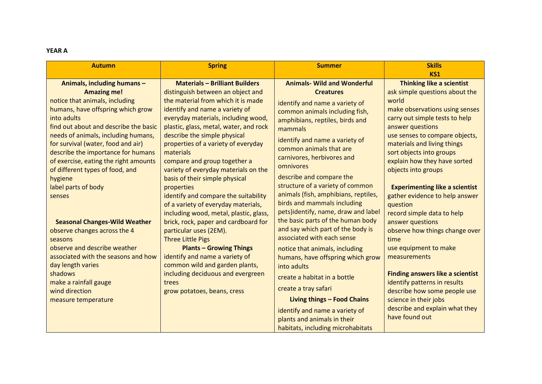#### **YEAR A**

| <b>Autumn</b>                                                                                                                                                                                                                                                                                                                                | <b>Spring</b>                                                                                                                                                                                                                                                                                                                                           | <b>Summer</b>                                                                                                                                                                                                                                                                      | <b>Skills</b><br>KS1                                                                                                                                                                                                                                                                             |
|----------------------------------------------------------------------------------------------------------------------------------------------------------------------------------------------------------------------------------------------------------------------------------------------------------------------------------------------|---------------------------------------------------------------------------------------------------------------------------------------------------------------------------------------------------------------------------------------------------------------------------------------------------------------------------------------------------------|------------------------------------------------------------------------------------------------------------------------------------------------------------------------------------------------------------------------------------------------------------------------------------|--------------------------------------------------------------------------------------------------------------------------------------------------------------------------------------------------------------------------------------------------------------------------------------------------|
| Animals, including humans -<br><b>Amazing me!</b><br>notice that animals, including<br>humans, have offspring which grow<br>into adults<br>find out about and describe the basic<br>needs of animals, including humans,<br>for survival (water, food and air)<br>describe the importance for humans<br>of exercise, eating the right amounts | <b>Materials - Brilliant Builders</b><br>distinguish between an object and<br>the material from which it is made<br>identify and name a variety of<br>everyday materials, including wood,<br>plastic, glass, metal, water, and rock<br>describe the simple physical<br>properties of a variety of everyday<br>materials<br>compare and group together a | <b>Animals- Wild and Wonderful</b><br><b>Creatures</b><br>identify and name a variety of<br>common animals including fish,<br>amphibians, reptiles, birds and<br>mammals<br>identify and name a variety of<br>common animals that are<br>carnivores, herbivores and<br>omnivores   | <b>Thinking like a scientist</b><br>ask simple questions about the<br>world<br>make observations using senses<br>carry out simple tests to help<br>answer questions<br>use senses to compare objects,<br>materials and living things<br>sort objects into groups<br>explain how they have sorted |
| of different types of food, and<br>hygiene<br>label parts of body<br>senses<br><b>Seasonal Changes-Wild Weather</b><br>observe changes across the 4<br>seasons                                                                                                                                                                               | variety of everyday materials on the<br>basis of their simple physical<br>properties<br>identify and compare the suitability<br>of a variety of everyday materials,<br>including wood, metal, plastic, glass,<br>brick, rock, paper and cardboard for<br>particular uses (2EM).<br><b>Three Little Pigs</b>                                             | describe and compare the<br>structure of a variety of common<br>animals (fish, amphibians, reptiles,<br>birds and mammals including<br>pets)identify, name, draw and label<br>the basic parts of the human body<br>and say which part of the body is<br>associated with each sense | objects into groups<br><b>Experimenting like a scientist</b><br>gather evidence to help answer<br>question<br>record simple data to help<br>answer questions<br>observe how things change over<br>time                                                                                           |
| observe and describe weather<br>associated with the seasons and how<br>day length varies<br>shadows<br>make a rainfall gauge<br>wind direction<br>measure temperature                                                                                                                                                                        | <b>Plants - Growing Things</b><br>identify and name a variety of<br>common wild and garden plants,<br>including deciduous and evergreen<br>trees<br>grow potatoes, beans, cress                                                                                                                                                                         | notice that animals, including<br>humans, have offspring which grow<br>into adults<br>create a habitat in a bottle<br>create a tray safari<br>Living things - Food Chains                                                                                                          | use equipment to make<br>measurements<br><b>Finding answers like a scientist</b><br>identify patterns in results<br>describe how some people use<br>science in their jobs                                                                                                                        |
|                                                                                                                                                                                                                                                                                                                                              |                                                                                                                                                                                                                                                                                                                                                         | identify and name a variety of<br>plants and animals in their<br>habitats, including microhabitats                                                                                                                                                                                 | describe and explain what they<br>have found out                                                                                                                                                                                                                                                 |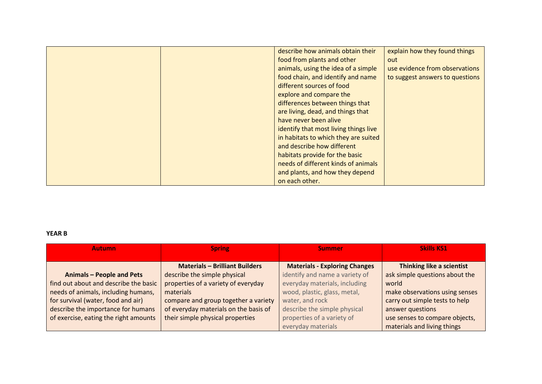| describe how animals obtain their     | explain how they found things   |
|---------------------------------------|---------------------------------|
| food from plants and other            | out                             |
| animals, using the idea of a simple   | use evidence from observations  |
| food chain, and identify and name     | to suggest answers to questions |
| different sources of food             |                                 |
| explore and compare the               |                                 |
| differences between things that       |                                 |
| are living, dead, and things that     |                                 |
| have never been alive                 |                                 |
| identify that most living things live |                                 |
| in habitats to which they are suited  |                                 |
| and describe how different            |                                 |
| habitats provide for the basic        |                                 |
| needs of different kinds of animals   |                                 |
| and plants, and how they depend       |                                 |
| on each other.                        |                                 |

### **YEAR B**

| <b>Autumn</b>                         | <b>Spring</b>                         | <b>Summer</b>                        | <b>Skills KS1</b>              |
|---------------------------------------|---------------------------------------|--------------------------------------|--------------------------------|
|                                       | <b>Materials - Brilliant Builders</b> | <b>Materials - Exploring Changes</b> | Thinking like a scientist      |
| <b>Animals - People and Pets</b>      | describe the simple physical          | identify and name a variety of       | ask simple questions about the |
| find out about and describe the basic | properties of a variety of everyday   | everyday materials, including        | world                          |
| needs of animals, including humans,   | materials                             | wood, plastic, glass, metal,         | make observations using senses |
| for survival (water, food and air)    | compare and group together a variety  | water, and rock                      | carry out simple tests to help |
| describe the importance for humans    | of everyday materials on the basis of | describe the simple physical         | answer questions               |
| of exercise, eating the right amounts | their simple physical properties      | properties of a variety of           | use senses to compare objects, |
|                                       |                                       | everyday materials                   | materials and living things    |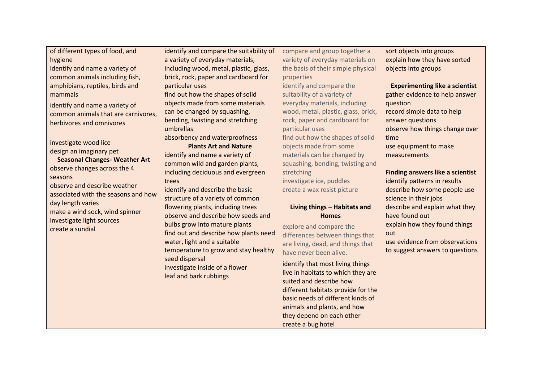| of different types of food, and      | identify and compare the suitability of | compare and group together a        | sort objects into groups                |
|--------------------------------------|-----------------------------------------|-------------------------------------|-----------------------------------------|
| hygiene                              | a variety of everyday materials,        | variety of everyday materials on    | explain how they have sorted            |
| identify and name a variety of       | including wood, metal, plastic, glass,  | the basis of their simple physical  | objects into groups                     |
| common animals including fish,       | brick, rock, paper and cardboard for    | properties                          |                                         |
| amphibians, reptiles, birds and      | particular uses                         | identify and compare the            | <b>Experimenting like a scientist</b>   |
| mammals                              | find out how the shapes of solid        | suitability of a variety of         | gather evidence to help answer          |
| identify and name a variety of       | objects made from some materials        | everyday materials, including       | question                                |
| common animals that are carnivores,  | can be changed by squashing,            | wood, metal, plastic, glass, brick, | record simple data to help              |
| herbivores and omnivores             | bending, twisting and stretching        | rock, paper and cardboard for       | answer questions                        |
|                                      | umbrellas                               | particular uses                     | observe how things change over          |
| investigate wood lice                | absorbency and waterproofness           | find out how the shapes of solid    | time                                    |
| design an imaginary pet              | <b>Plants Art and Nature</b>            | objects made from some              | use equipment to make                   |
| <b>Seasonal Changes- Weather Art</b> | identify and name a variety of          | materials can be changed by         | measurements                            |
| observe changes across the 4         | common wild and garden plants,          | squashing, bending, twisting and    |                                         |
| seasons                              | including deciduous and evergreen       | stretching                          | <b>Finding answers like a scientist</b> |
| observe and describe weather         | trees                                   | investigate ice, puddles            | identify patterns in results            |
| associated with the seasons and how  | identify and describe the basic         | create a wax resist picture         | describe how some people use            |
| day length varies                    | structure of a variety of common        |                                     | science in their jobs                   |
| make a wind sock, wind spinner       | flowering plants, including trees       | Living things - Habitats and        | describe and explain what they          |
| investigate light sources            | observe and describe how seeds and      | <b>Homes</b>                        | have found out                          |
| create a sundial                     | bulbs grow into mature plants           | explore and compare the             | explain how they found things           |
|                                      | find out and describe how plants need   | differences between things that     | out                                     |
|                                      | water, light and a suitable             | are living, dead, and things that   | use evidence from observations          |
|                                      | temperature to grow and stay healthy    | have never been alive.              | to suggest answers to questions         |
|                                      | seed dispersal                          | identify that most living things    |                                         |
|                                      | investigate inside of a flower          | live in habitats to which they are  |                                         |
|                                      | leaf and bark rubbings                  | suited and describe how             |                                         |
|                                      |                                         | different habitats provide for the  |                                         |
|                                      |                                         | basic needs of different kinds of   |                                         |
|                                      |                                         | animals and plants, and how         |                                         |
|                                      |                                         | they depend on each other           |                                         |
|                                      |                                         | create a bug hotel                  |                                         |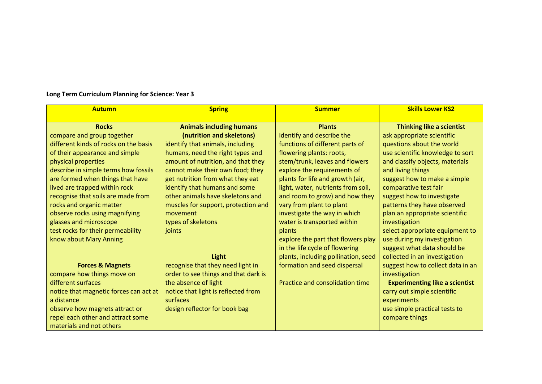| <b>Autumn</b>                          | <b>Spring</b>                        | <b>Summer</b>                       | <b>Skills Lower KS2</b>               |
|----------------------------------------|--------------------------------------|-------------------------------------|---------------------------------------|
| <b>Rocks</b>                           | <b>Animals including humans</b>      | <b>Plants</b>                       | Thinking like a scientist             |
| compare and group together             | (nutrition and skeletons)            | identify and describe the           | ask appropriate scientific            |
| different kinds of rocks on the basis  | identify that animals, including     | functions of different parts of     | questions about the world             |
| of their appearance and simple         | humans, need the right types and     | flowering plants: roots,            | use scientific knowledge to sort      |
| physical properties                    | amount of nutrition, and that they   | stem/trunk, leaves and flowers      | and classify objects, materials       |
| describe in simple terms how fossils   | cannot make their own food; they     | explore the requirements of         | and living things                     |
| are formed when things that have       | get nutrition from what they eat     | plants for life and growth (air,    | suggest how to make a simple          |
| lived are trapped within rock          | identify that humans and some        | light, water, nutrients from soil,  | comparative test fair                 |
| recognise that soils are made from     | other animals have skeletons and     | and room to grow) and how they      | suggest how to investigate            |
| rocks and organic matter               | muscles for support, protection and  | vary from plant to plant            | patterns they have observed           |
| observe rocks using magnifying         | movement                             | investigate the way in which        | plan an appropriate scientific        |
| glasses and microscope                 | types of skeletons                   | water is transported within         | investigation                         |
| test rocks for their permeability      | joints                               | plants                              | select appropriate equipment to       |
| know about Mary Anning                 |                                      | explore the part that flowers play  | use during my investigation           |
|                                        |                                      | in the life cycle of flowering      | suggest what data should be           |
|                                        | Light                                | plants, including pollination, seed | collected in an investigation         |
| <b>Forces &amp; Magnets</b>            | recognise that they need light in    | formation and seed dispersal        | suggest how to collect data in an     |
| compare how things move on             | order to see things and that dark is |                                     | investigation                         |
| different surfaces                     | the absence of light                 | Practice and consolidation time     | <b>Experimenting like a scientist</b> |
| notice that magnetic forces can act at | notice that light is reflected from  |                                     | carry out simple scientific           |
| a distance                             | surfaces                             |                                     | experiments                           |
| observe how magnets attract or         | design reflector for book bag        |                                     | use simple practical tests to         |
| repel each other and attract some      |                                      |                                     | compare things                        |
| materials and not others               |                                      |                                     |                                       |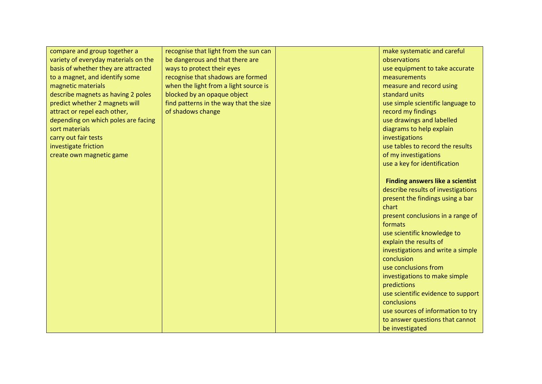| compare and group together a         | recognise that light from the sun can  | make systematic and careful             |
|--------------------------------------|----------------------------------------|-----------------------------------------|
| variety of everyday materials on the | be dangerous and that there are        | observations                            |
| basis of whether they are attracted  | ways to protect their eyes             | use equipment to take accurate          |
| to a magnet, and identify some       | recognise that shadows are formed      | measurements                            |
| magnetic materials                   | when the light from a light source is  | measure and record using                |
|                                      |                                        | standard units                          |
| describe magnets as having 2 poles   | blocked by an opaque object            |                                         |
| predict whether 2 magnets will       | find patterns in the way that the size | use simple scientific language to       |
| attract or repel each other,         | of shadows change                      | record my findings                      |
| depending on which poles are facing  |                                        | use drawings and labelled               |
| sort materials                       |                                        | diagrams to help explain                |
| carry out fair tests                 |                                        | investigations                          |
| investigate friction                 |                                        | use tables to record the results        |
| create own magnetic game             |                                        | of my investigations                    |
|                                      |                                        | use a key for identification            |
|                                      |                                        |                                         |
|                                      |                                        | <b>Finding answers like a scientist</b> |
|                                      |                                        | describe results of investigations      |
|                                      |                                        | present the findings using a bar        |
|                                      |                                        | chart                                   |
|                                      |                                        | present conclusions in a range of       |
|                                      |                                        | formats                                 |
|                                      |                                        | use scientific knowledge to             |
|                                      |                                        | explain the results of                  |
|                                      |                                        | investigations and write a simple       |
|                                      |                                        | conclusion                              |
|                                      |                                        | use conclusions from                    |
|                                      |                                        | investigations to make simple           |
|                                      |                                        | predictions                             |
|                                      |                                        |                                         |
|                                      |                                        | use scientific evidence to support      |
|                                      |                                        | conclusions                             |
|                                      |                                        | use sources of information to try       |
|                                      |                                        | to answer questions that cannot         |
|                                      |                                        | be investigated                         |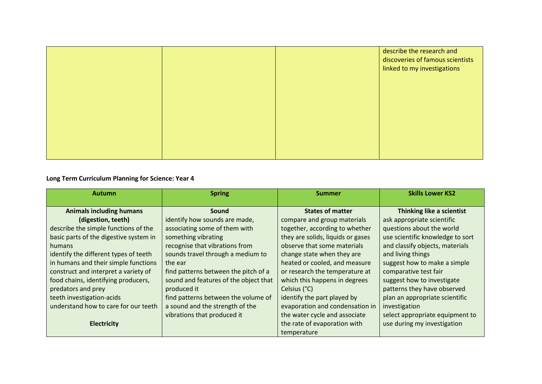|  | describe the research and<br>discoveries of famous scientists<br>linked to my investigations |
|--|----------------------------------------------------------------------------------------------|
|  |                                                                                              |
|  |                                                                                              |
|  |                                                                                              |

| <b>Autumn</b>                          | <b>Spring</b>                         | <b>Summer</b>                     | <b>Skills Lower KS2</b>          |
|----------------------------------------|---------------------------------------|-----------------------------------|----------------------------------|
| <b>Animals including humans</b>        | Sound                                 | <b>States of matter</b>           | Thinking like a scientist        |
| (digestion, teeth)                     | identify how sounds are made,         | compare and group materials       | ask appropriate scientific       |
| describe the simple functions of the   | associating some of them with         | together, according to whether    | questions about the world        |
| basic parts of the digestive system in | something vibrating                   | they are solids, liquids or gases | use scientific knowledge to sort |
| humans                                 | recognise that vibrations from        | observe that some materials       | and classify objects, materials  |
| identify the different types of teeth  | sounds travel through a medium to     | change state when they are        | and living things                |
| in humans and their simple functions   | the ear                               | heated or cooled, and measure     | suggest how to make a simple     |
| construct and interpret a variety of   | find patterns between the pitch of a  | or research the temperature at    | comparative test fair            |
| food chains, identifying producers,    | sound and features of the object that | which this happens in degrees     | suggest how to investigate       |
| predators and prey                     | produced it                           | Celsius (°C)                      | patterns they have observed      |
| teeth investigation-acids              | find patterns between the volume of   | identify the part played by       | plan an appropriate scientific   |
| understand how to care for our teeth   | a sound and the strength of the       | evaporation and condensation in   | investigation                    |
|                                        | vibrations that produced it           | the water cycle and associate     | select appropriate equipment to  |
| <b>Electricity</b>                     |                                       | the rate of evaporation with      | use during my investigation      |
|                                        |                                       | temperature                       |                                  |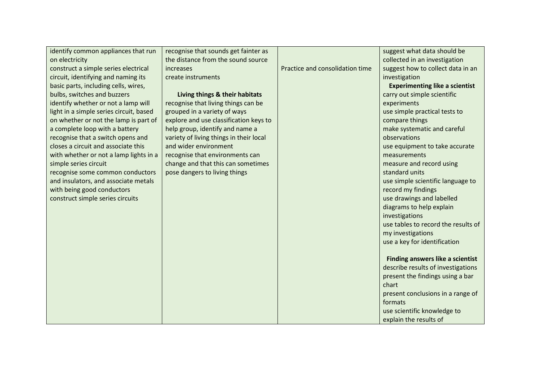| identify common appliances that run     | recognise that sounds get fainter as    |                                 | suggest what data should be             |
|-----------------------------------------|-----------------------------------------|---------------------------------|-----------------------------------------|
| on electricity                          | the distance from the sound source      |                                 | collected in an investigation           |
| construct a simple series electrical    | increases                               | Practice and consolidation time | suggest how to collect data in an       |
| circuit, identifying and naming its     | create instruments                      |                                 | investigation                           |
| basic parts, including cells, wires,    |                                         |                                 | <b>Experimenting like a scientist</b>   |
| bulbs, switches and buzzers             | Living things & their habitats          |                                 | carry out simple scientific             |
| identify whether or not a lamp will     | recognise that living things can be     |                                 | experiments                             |
| light in a simple series circuit, based | grouped in a variety of ways            |                                 | use simple practical tests to           |
| on whether or not the lamp is part of   | explore and use classification keys to  |                                 | compare things                          |
| a complete loop with a battery          | help group, identify and name a         |                                 | make systematic and careful             |
| recognise that a switch opens and       | variety of living things in their local |                                 | observations                            |
| closes a circuit and associate this     | and wider environment                   |                                 | use equipment to take accurate          |
| with whether or not a lamp lights in a  | recognise that environments can         |                                 | measurements                            |
| simple series circuit                   | change and that this can sometimes      |                                 | measure and record using                |
| recognise some common conductors        | pose dangers to living things           |                                 | standard units                          |
| and insulators, and associate metals    |                                         |                                 | use simple scientific language to       |
| with being good conductors              |                                         |                                 | record my findings                      |
| construct simple series circuits        |                                         |                                 | use drawings and labelled               |
|                                         |                                         |                                 | diagrams to help explain                |
|                                         |                                         |                                 | investigations                          |
|                                         |                                         |                                 | use tables to record the results of     |
|                                         |                                         |                                 | my investigations                       |
|                                         |                                         |                                 | use a key for identification            |
|                                         |                                         |                                 |                                         |
|                                         |                                         |                                 | <b>Finding answers like a scientist</b> |
|                                         |                                         |                                 | describe results of investigations      |
|                                         |                                         |                                 | present the findings using a bar        |
|                                         |                                         |                                 | chart                                   |
|                                         |                                         |                                 | present conclusions in a range of       |
|                                         |                                         |                                 | formats                                 |
|                                         |                                         |                                 | use scientific knowledge to             |
|                                         |                                         |                                 | explain the results of                  |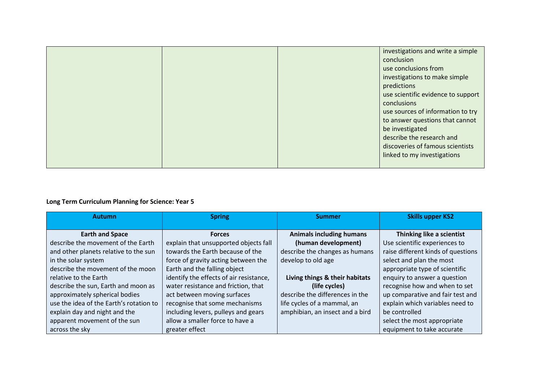|  | investigations and write a simple<br>conclusion<br>use conclusions from<br>investigations to make simple<br>predictions<br>use scientific evidence to support<br>conclusions<br>use sources of information to try<br>to answer questions that cannot<br>be investigated<br>describe the research and<br>discoveries of famous scientists |
|--|------------------------------------------------------------------------------------------------------------------------------------------------------------------------------------------------------------------------------------------------------------------------------------------------------------------------------------------|
|  | linked to my investigations                                                                                                                                                                                                                                                                                                              |

| <b>Autumn</b>                           | <b>Spring</b>                           | <b>Summer</b>                   | <b>Skills upper KS2</b>            |
|-----------------------------------------|-----------------------------------------|---------------------------------|------------------------------------|
|                                         |                                         |                                 |                                    |
| <b>Earth and Space</b>                  | <b>Forces</b>                           | <b>Animals including humans</b> | Thinking like a scientist          |
| describe the movement of the Earth      | explain that unsupported objects fall   | (human development)             | Use scientific experiences to      |
| and other planets relative to the sun   | towards the Earth because of the        | describe the changes as humans  | raise different kinds of questions |
| in the solar system                     | force of gravity acting between the     | develop to old age              | select and plan the most           |
| describe the movement of the moon       | Earth and the falling object            |                                 | appropriate type of scientific     |
| relative to the Earth                   | identify the effects of air resistance, | Living things & their habitats  | enquiry to answer a question       |
| describe the sun, Earth and moon as     | water resistance and friction, that     | (life cycles)                   | recognise how and when to set      |
| approximately spherical bodies          | act between moving surfaces             | describe the differences in the | up comparative and fair test and   |
| use the idea of the Earth's rotation to | recognise that some mechanisms          | life cycles of a mammal, an     | explain which variables need to    |
| explain day and night and the           | including levers, pulleys and gears     | amphibian, an insect and a bird | be controlled                      |
| apparent movement of the sun            | allow a smaller force to have a         |                                 | select the most appropriate        |
| across the sky                          | greater effect                          |                                 | equipment to take accurate         |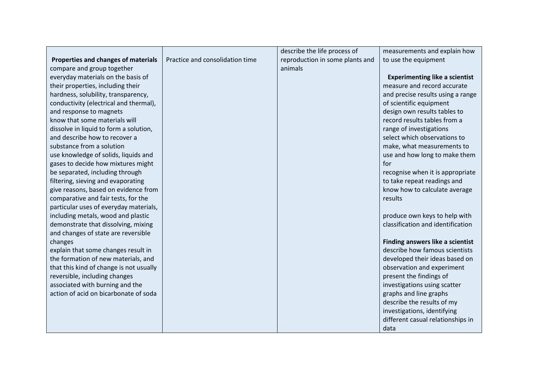|                                         |                                 | describe the life process of    | measurements and explain how          |
|-----------------------------------------|---------------------------------|---------------------------------|---------------------------------------|
| Properties and changes of materials     | Practice and consolidation time | reproduction in some plants and | to use the equipment                  |
| compare and group together              |                                 | animals                         |                                       |
| everyday materials on the basis of      |                                 |                                 | <b>Experimenting like a scientist</b> |
| their properties, including their       |                                 |                                 | measure and record accurate           |
| hardness, solubility, transparency,     |                                 |                                 | and precise results using a range     |
| conductivity (electrical and thermal),  |                                 |                                 | of scientific equipment               |
| and response to magnets                 |                                 |                                 | design own results tables to          |
| know that some materials will           |                                 |                                 | record results tables from a          |
| dissolve in liquid to form a solution,  |                                 |                                 | range of investigations               |
| and describe how to recover a           |                                 |                                 | select which observations to          |
| substance from a solution               |                                 |                                 | make, what measurements to            |
| use knowledge of solids, liquids and    |                                 |                                 | use and how long to make them         |
| gases to decide how mixtures might      |                                 |                                 | for                                   |
| be separated, including through         |                                 |                                 | recognise when it is appropriate      |
| filtering, sieving and evaporating      |                                 |                                 | to take repeat readings and           |
| give reasons, based on evidence from    |                                 |                                 | know how to calculate average         |
| comparative and fair tests, for the     |                                 |                                 | results                               |
| particular uses of everyday materials,  |                                 |                                 |                                       |
| including metals, wood and plastic      |                                 |                                 | produce own keys to help with         |
| demonstrate that dissolving, mixing     |                                 |                                 | classification and identification     |
| and changes of state are reversible     |                                 |                                 |                                       |
| changes                                 |                                 |                                 | Finding answers like a scientist      |
| explain that some changes result in     |                                 |                                 | describe how famous scientists        |
| the formation of new materials, and     |                                 |                                 | developed their ideas based on        |
| that this kind of change is not usually |                                 |                                 | observation and experiment            |
| reversible, including changes           |                                 |                                 | present the findings of               |
| associated with burning and the         |                                 |                                 | investigations using scatter          |
| action of acid on bicarbonate of soda   |                                 |                                 | graphs and line graphs                |
|                                         |                                 |                                 | describe the results of my            |
|                                         |                                 |                                 | investigations, identifying           |
|                                         |                                 |                                 | different casual relationships in     |
|                                         |                                 |                                 | data                                  |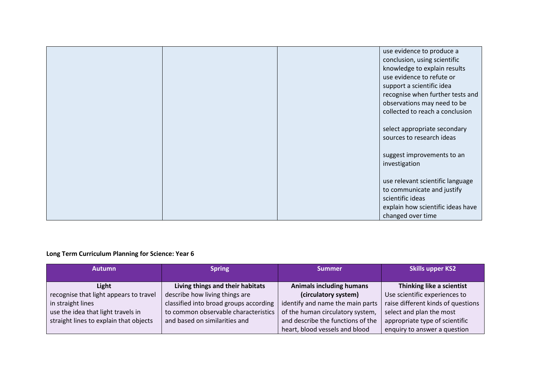|  | use evidence to produce a         |
|--|-----------------------------------|
|  | conclusion, using scientific      |
|  | knowledge to explain results      |
|  | use evidence to refute or         |
|  | support a scientific idea         |
|  | recognise when further tests and  |
|  | observations may need to be       |
|  | collected to reach a conclusion   |
|  |                                   |
|  | select appropriate secondary      |
|  | sources to research ideas         |
|  |                                   |
|  | suggest improvements to an        |
|  | investigation                     |
|  |                                   |
|  | use relevant scientific language  |
|  | to communicate and justify        |
|  | scientific ideas                  |
|  | explain how scientific ideas have |
|  | changed over time                 |

| <b>Autumn</b>                          | <b>Spring</b>                          | <b>Summer</b>                     | <b>Skills upper KS2</b>            |
|----------------------------------------|----------------------------------------|-----------------------------------|------------------------------------|
|                                        |                                        |                                   |                                    |
| Light                                  | Living things and their habitats       | <b>Animals including humans</b>   | Thinking like a scientist          |
| recognise that light appears to travel | describe how living things are         | (circulatory system)              | Use scientific experiences to      |
| in straight lines                      | classified into broad groups according | identify and name the main parts  | raise different kinds of questions |
| use the idea that light travels in     | to common observable characteristics   | of the human circulatory system,  | select and plan the most           |
| straight lines to explain that objects | and based on similarities and          | and describe the functions of the | appropriate type of scientific     |
|                                        |                                        | heart, blood vessels and blood    | enquiry to answer a question       |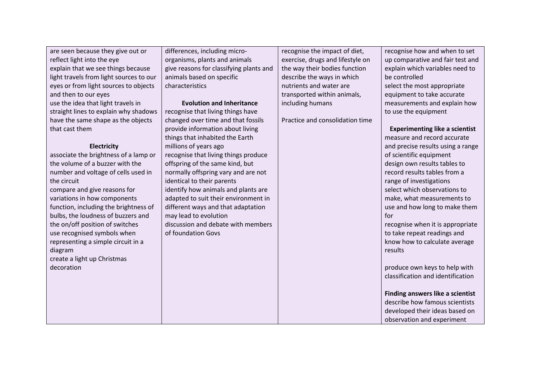| are seen because they give out or       | differences, including micro-           | recognise the impact of diet,    | recognise how and when to set           |
|-----------------------------------------|-----------------------------------------|----------------------------------|-----------------------------------------|
| reflect light into the eye              | organisms, plants and animals           | exercise, drugs and lifestyle on | up comparative and fair test and        |
| explain that we see things because      | give reasons for classifying plants and | the way their bodies function    | explain which variables need to         |
| light travels from light sources to our | animals based on specific               | describe the ways in which       | be controlled                           |
| eyes or from light sources to objects   | characteristics                         | nutrients and water are          | select the most appropriate             |
| and then to our eyes                    |                                         | transported within animals,      | equipment to take accurate              |
| use the idea that light travels in      | <b>Evolution and Inheritance</b>        | including humans                 | measurements and explain how            |
| straight lines to explain why shadows   | recognise that living things have       |                                  | to use the equipment                    |
| have the same shape as the objects      | changed over time and that fossils      | Practice and consolidation time  |                                         |
| that cast them                          | provide information about living        |                                  | <b>Experimenting like a scientist</b>   |
|                                         | things that inhabited the Earth         |                                  | measure and record accurate             |
| <b>Electricity</b>                      | millions of years ago                   |                                  | and precise results using a range       |
| associate the brightness of a lamp or   | recognise that living things produce    |                                  | of scientific equipment                 |
| the volume of a buzzer with the         | offspring of the same kind, but         |                                  | design own results tables to            |
| number and voltage of cells used in     | normally offspring vary and are not     |                                  | record results tables from a            |
| the circuit                             | identical to their parents              |                                  | range of investigations                 |
| compare and give reasons for            | identify how animals and plants are     |                                  | select which observations to            |
| variations in how components            | adapted to suit their environment in    |                                  | make, what measurements to              |
| function, including the brightness of   | different ways and that adaptation      |                                  | use and how long to make them           |
| bulbs, the loudness of buzzers and      | may lead to evolution                   |                                  | for                                     |
| the on/off position of switches         | discussion and debate with members      |                                  | recognise when it is appropriate        |
| use recognised symbols when             | of foundation Govs                      |                                  | to take repeat readings and             |
| representing a simple circuit in a      |                                         |                                  | know how to calculate average           |
| diagram                                 |                                         |                                  | results                                 |
| create a light up Christmas             |                                         |                                  |                                         |
| decoration                              |                                         |                                  | produce own keys to help with           |
|                                         |                                         |                                  | classification and identification       |
|                                         |                                         |                                  |                                         |
|                                         |                                         |                                  | <b>Finding answers like a scientist</b> |
|                                         |                                         |                                  | describe how famous scientists          |
|                                         |                                         |                                  | developed their ideas based on          |
|                                         |                                         |                                  | observation and experiment              |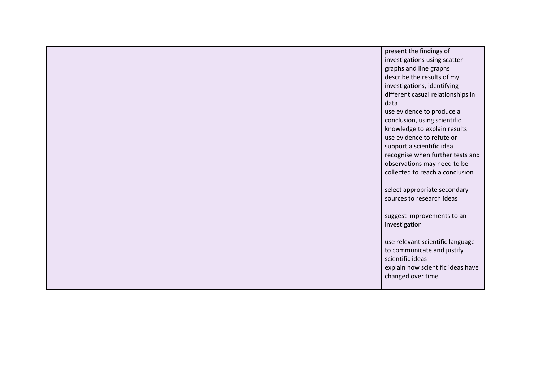|  | present the findings of           |
|--|-----------------------------------|
|  | investigations using scatter      |
|  | graphs and line graphs            |
|  | describe the results of my        |
|  | investigations, identifying       |
|  | different casual relationships in |
|  | data                              |
|  | use evidence to produce a         |
|  | conclusion, using scientific      |
|  | knowledge to explain results      |
|  | use evidence to refute or         |
|  | support a scientific idea         |
|  | recognise when further tests and  |
|  | observations may need to be       |
|  | collected to reach a conclusion   |
|  |                                   |
|  | select appropriate secondary      |
|  | sources to research ideas         |
|  |                                   |
|  | suggest improvements to an        |
|  | investigation                     |
|  |                                   |
|  | use relevant scientific language  |
|  | to communicate and justify        |
|  | scientific ideas                  |
|  | explain how scientific ideas have |
|  | changed over time                 |
|  |                                   |
|  |                                   |